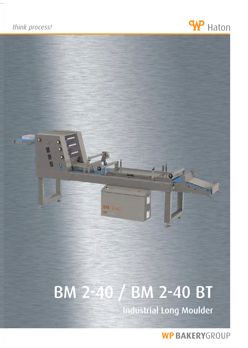



# BM 2-40 / BM 2-40 BT

Industrial Long Moulder

**WP BAKERYGROUP**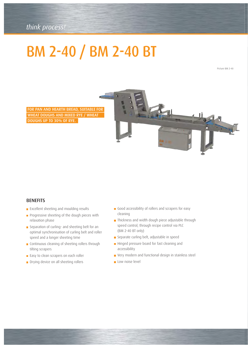### *think process! think process!*

## BM 2-40 / BM 2-40 BT

Picture BM 2-40

FOR PAN AND HEARTH BREAD, SUITABLE FOR WHEAT DOUGHS AND MIXED RYE / WHEAT DOUGHS UP TO 30% OF RYE.



#### **BENEFITS**

- **Excellent sheeting and moulding results**
- **Progressive sheeting of the dough pieces with** relaxation phase
- Separation of curling- and sheeting belt for an optimal synchronisation of curling belt and roller speed and a longer sheeting time
- **Continuous cleaning of sheeting rollers through** tilting scrapers
- **Easy to clean scrapers on each roller**
- **Drying device on all sheeting rollers**
- Good accessibility of rollers and scrapers for easy cleaning
- Thickness and width dough piece adjustable through speed control, through recipe control via PLC (BM 2-40 BT only)
- Separate curling belt, adjustable in speed
- Hinged pressure board for fast cleaning and accessibility
- Very modern and functional design in stainless steel
- Low noise level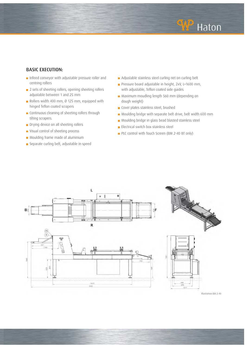

#### BASIC EXECUTION:

- **Infeed conveyor with adjustable pressure roller and** centring rollers
- 2 sets of sheeting rollers, opening sheeting rollers adjustable between 1 and 25 mm
- Rollers width 400 mm, Ø 125 mm, equipped with hinged Teflon coated scrapers
- **Continuous cleaning of sheeting rollers through** tilting scrapers.
- **Drying device on all sheeting rollers**
- **Visual control of sheeting process**
- **Moulding frame made of aluminium**
- Separate curling belt, adjustable in speed
- Adjustable stainless steel curling net on curling belt
- Pressure board adjustable in height, 2xV, L=1600 mm, with adjustable, Teflon coated side guides
- **Maximum moudling length 560 mm (depending on** dough weight)
- Cover plates stainless steel, brushed
- Moulding bridge with separate belt drive, belt width 600 mm
- Moulding bridge in glass bead blasted stainless steel
- **Electrical switch box stainless steel**
- PLC control with Touch Screen (BM 2-40 BT only)



Illustration BM 2-40